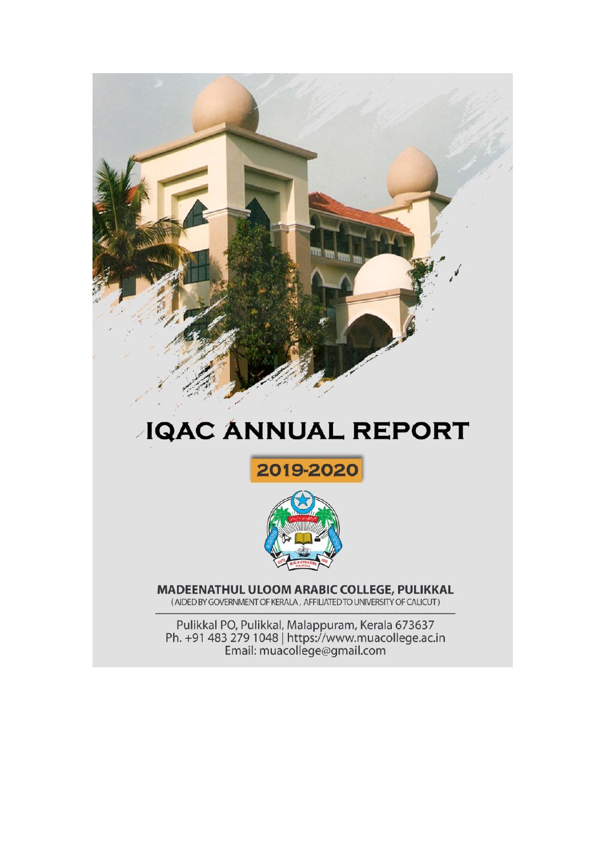

# **JQAC ANNUAL REPORT**





MADEENATHUL ULOOM ARABIC COLLEGE, PULIKKAL (AIDED BY GOVERNMENT OF KERALA, AFFILIATED TO UNIVERSITY OF CALICUT)

Pulikkal PO, Pulikkal, Malappuram, Kerala 673637<br>Ph. +91 483 279 1048 | https://www.muacollege.ac.in<br>Email: muacollege@gmail.com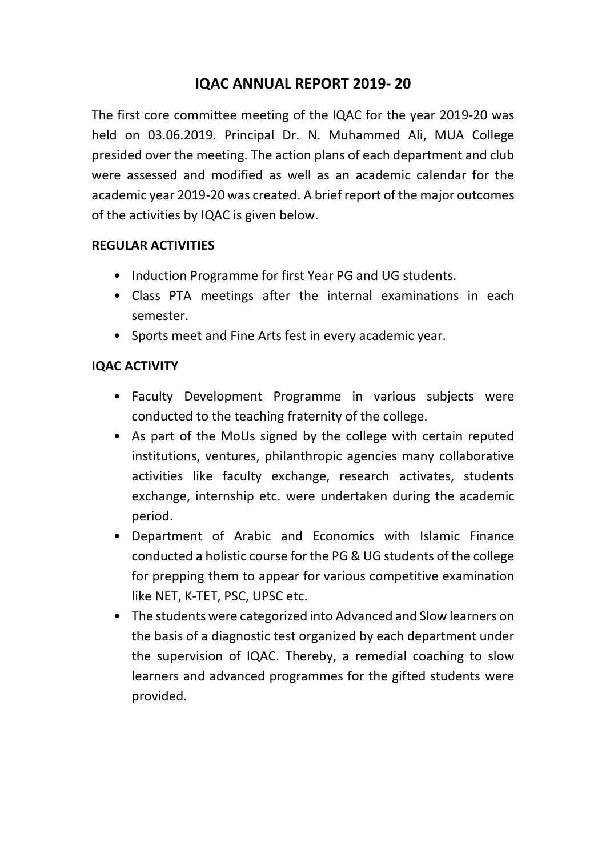## **IQAC ANNUAL REPORT 2019- 20**

The first core committee meeting of the IQAC for the year 2019-20 was held on 03.06.2019. Principal Dr. N. Muhammed Ali, MUA College presided over the meeting. The action plans of each department and club were assessed and modified as well as an academic calendar for the academic year 2019-20 was created. A brief report of the major outcomes of the activities by IQAC is given below.

#### **REGULAR ACTIVITIES**

- Induction Programme for first Year PG and UG students.
- Class PTA meetings after the internal examinations in each semester.
- Sports meet and Fine Arts fest in every academic year.

## **IQAC ACTIVITY**

- Faculty Development Programme in various subjects were conducted to the teaching fraternity of the college.
- As part of the MoUs signed by the college with certain reputed institutions, ventures, philanthropic agencies many collaborative activities like faculty exchange, research activates, students exchange, internship etc. were undertaken during the academic period.
- Department of Arabic and Economics with Islamic Finance conducted a holistic course for the PG & UG students of the college for prepping them to appear for various competitive examination like NET, K-TET, PSC, UPSC etc.
- The students were categorized into Advanced and Slow learners on the basis of a diagnostic test organized by each department under the supervision of IQAC. Thereby, a remedial coaching to slow learners and advanced programmes for the gifted students were provided.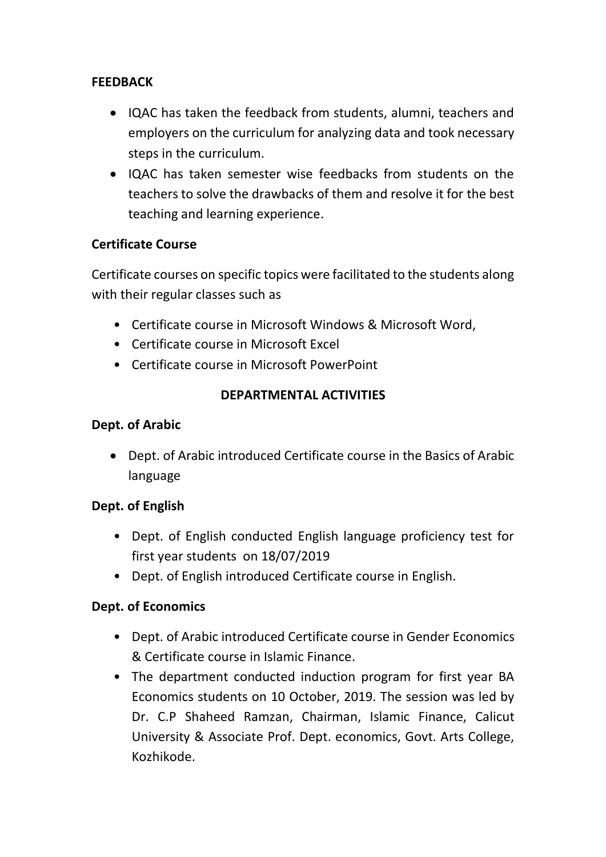## **FEEDBACK**

- IQAC has taken the feedback from students, alumni, teachers and employers on the curriculum for analyzing data and took necessary steps in the curriculum.
- IQAC has taken semester wise feedbacks from students on the teachers to solve the drawbacks of them and resolve it for the best teaching and learning experience.

## **Certificate Course**

Certificate courses on specific topics were facilitated to the students along with their regular classes such as

- Certificate course in Microsoft Windows & Microsoft Word,
- Certificate course in Microsoft Excel
- Certificate course in Microsoft PowerPoint

## **DEPARTMENTAL ACTIVITIES**

## **Dept. of Arabic**

 Dept. of Arabic introduced Certificate course in the Basics of Arabic language

## **Dept. of English**

- Dept. of English conducted English language proficiency test for first year students on 18/07/2019
- Dept. of English introduced Certificate course in English.

## **Dept. of Economics**

- Dept. of Arabic introduced Certificate course in Gender Economics & Certificate course in Islamic Finance.
- The department conducted induction program for first year BA Economics students on 10 October, 2019. The session was led by Dr. C.P Shaheed Ramzan, Chairman, Islamic Finance, Calicut University & Associate Prof. Dept. economics, Govt. Arts College, Kozhikode.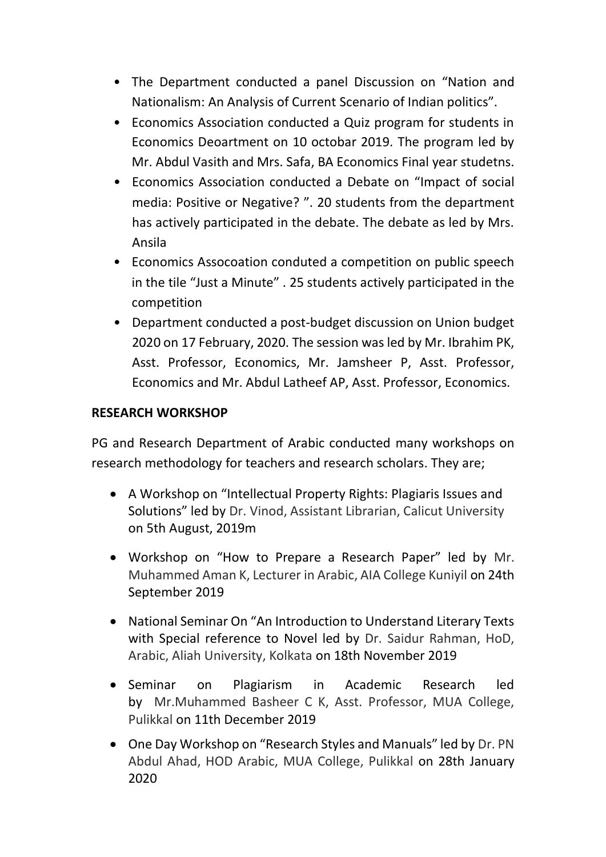- The Department conducted a panel Discussion on "Nation and Nationalism: An Analysis of Current Scenario of Indian politics".
- Economics Association conducted a Quiz program for students in Economics Deoartment on 10 octobar 2019. The program led by Mr. Abdul Vasith and Mrs. Safa, BA Economics Final year studetns.
- Economics Association conducted a Debate on "Impact of social media: Positive or Negative? ". 20 students from the department has actively participated in the debate. The debate as led by Mrs. Ansila
- Economics Assocoation conduted a competition on public speech in the tile "Just a Minute" . 25 students actively participated in the competition
- Department conducted a post-budget discussion on Union budget 2020 on 17 February, 2020. The session was led by Mr. Ibrahim PK, Asst. Professor, Economics, Mr. Jamsheer P, Asst. Professor, Economics and Mr. Abdul Latheef AP, Asst. Professor, Economics.

## **RESEARCH WORKSHOP**

PG and Research Department of Arabic conducted many workshops on research methodology for teachers and research scholars. They are;

- A Workshop on "Intellectual Property Rights: Plagiaris Issues and Solutions" led by Dr. Vinod, Assistant Librarian, Calicut University on 5th August, 2019m
- Workshop on "How to Prepare a Research Paper" led by Mr. Muhammed Aman K, Lecturer in Arabic, AIA College Kuniyil on 24th September 2019
- National Seminar On "An Introduction to Understand Literary Texts with Special reference to Novel led by Dr. Saidur Rahman, HoD, Arabic, Aliah University, Kolkata on 18th November 2019
- Seminar on Plagiarism in Academic Research led by Mr.Muhammed Basheer C K, Asst. Professor, MUA College, Pulikkal on 11th December 2019
- One Day Workshop on "Research Styles and Manuals" led by Dr. PN Abdul Ahad, HOD Arabic, MUA College, Pulikkal on 28th January 2020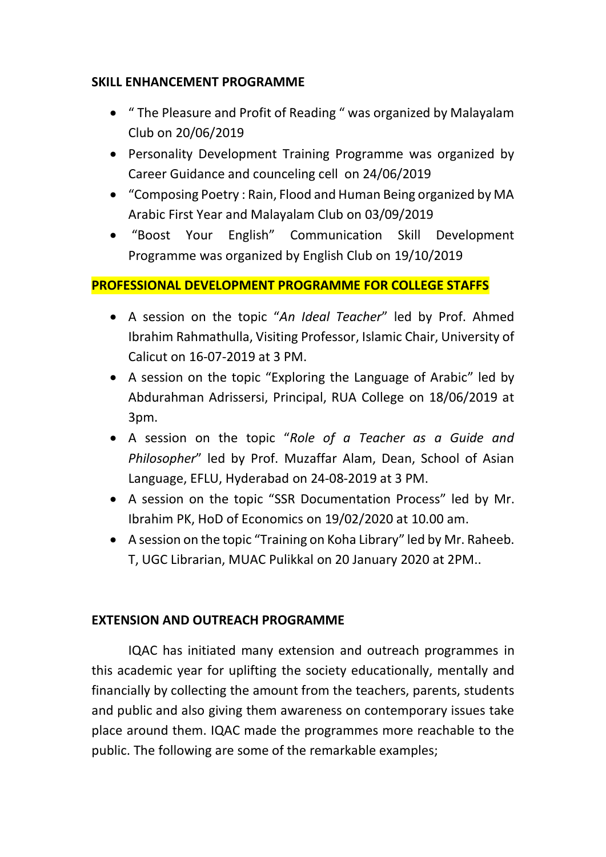#### **SKILL ENHANCEMENT PROGRAMME**

- " The Pleasure and Profit of Reading " was organized by Malayalam Club on 20/06/2019
- Personality Development Training Programme was organized by Career Guidance and counceling cell on 24/06/2019
- "Composing Poetry : Rain, Flood and Human Being organized by MA Arabic First Year and Malayalam Club on 03/09/2019
- "Boost Your English" Communication Skill Development Programme was organized by English Club on 19/10/2019

#### **PROFESSIONAL DEVELOPMENT PROGRAMME FOR COLLEGE STAFFS**

- A session on the topic "*An Ideal Teacher*" led by Prof. Ahmed Ibrahim Rahmathulla, Visiting Professor, Islamic Chair, University of Calicut on 16-07-2019 at 3 PM.
- A session on the topic "Exploring the Language of Arabic" led by Abdurahman Adrissersi, Principal, RUA College on 18/06/2019 at 3pm.
- A session on the topic "*Role of a Teacher as a Guide and Philosopher*" led by Prof. Muzaffar Alam, Dean, School of Asian Language, EFLU, Hyderabad on 24-08-2019 at 3 PM.
- A session on the topic "SSR Documentation Process" led by Mr. Ibrahim PK, HoD of Economics on 19/02/2020 at 10.00 am.
- A session on the topic "Training on Koha Library" led by Mr. Raheeb. T, UGC Librarian, MUAC Pulikkal on 20 January 2020 at 2PM..

#### **EXTENSION AND OUTREACH PROGRAMME**

IQAC has initiated many extension and outreach programmes in this academic year for uplifting the society educationally, mentally and financially by collecting the amount from the teachers, parents, students and public and also giving them awareness on contemporary issues take place around them. IQAC made the programmes more reachable to the public. The following are some of the remarkable examples;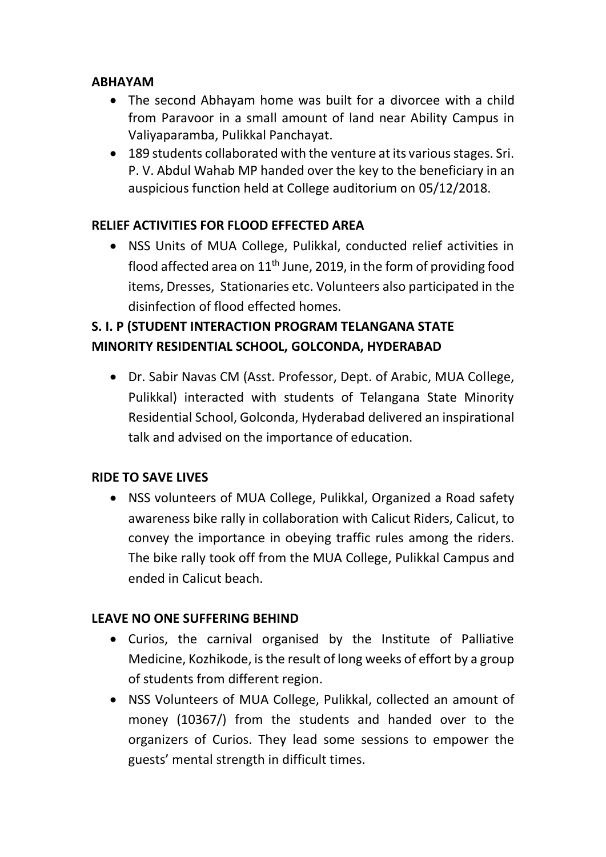#### **ABHAYAM**

- The second Abhayam home was built for a divorcee with a child from Paravoor in a small amount of land near Ability Campus in Valiyaparamba, Pulikkal Panchayat.
- 189 students collaborated with the venture at its various stages. Sri. P. V. Abdul Wahab MP handed over the key to the beneficiary in an auspicious function held at College auditorium on 05/12/2018.

## **RELIEF ACTIVITIES FOR FLOOD EFFECTED AREA**

 NSS Units of MUA College, Pulikkal, conducted relief activities in flood affected area on  $11<sup>th</sup>$  June, 2019, in the form of providing food items, Dresses, Stationaries etc. Volunteers also participated in the disinfection of flood effected homes.

# **S. I. P (STUDENT INTERACTION PROGRAM TELANGANA STATE MINORITY RESIDENTIAL SCHOOL, GOLCONDA, HYDERABAD**

 Dr. Sabir Navas CM (Asst. Professor, Dept. of Arabic, MUA College, Pulikkal) interacted with students of Telangana State Minority Residential School, Golconda, Hyderabad delivered an inspirational talk and advised on the importance of education.

## **RIDE TO SAVE LIVES**

 NSS volunteers of MUA College, Pulikkal, Organized a Road safety awareness bike rally in collaboration with Calicut Riders, Calicut, to convey the importance in obeying traffic rules among the riders. The bike rally took off from the MUA College, Pulikkal Campus and ended in Calicut beach.

## **LEAVE NO ONE SUFFERING BEHIND**

- Curios, the carnival organised by the Institute of Palliative Medicine, Kozhikode, is the result of long weeks of effort by a group of students from different region.
- NSS Volunteers of MUA College, Pulikkal, collected an amount of money (10367/) from the students and handed over to the organizers of Curios. They lead some sessions to empower the guests' mental strength in difficult times.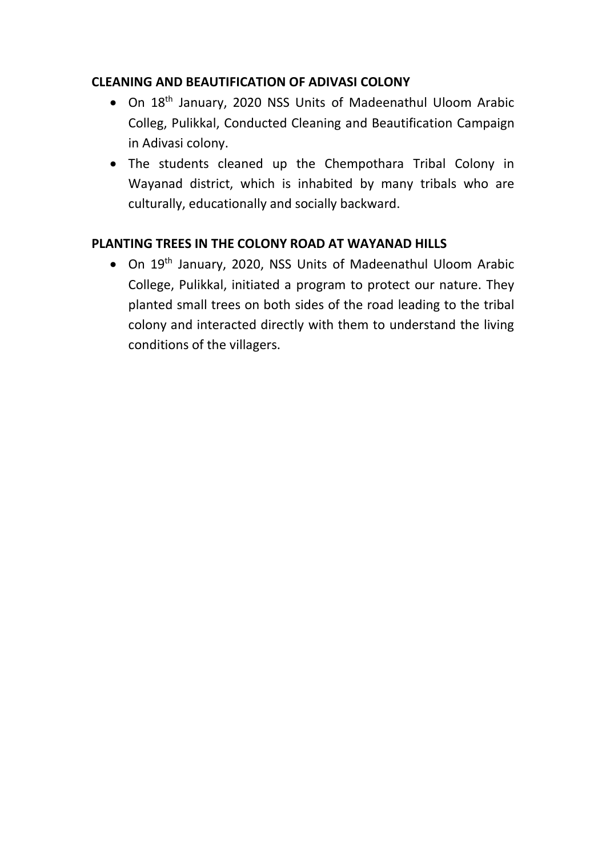## **CLEANING AND BEAUTIFICATION OF ADIVASI COLONY**

- On 18th January, 2020 NSS Units of Madeenathul Uloom Arabic Colleg, Pulikkal, Conducted Cleaning and Beautification Campaign in Adivasi colony.
- The students cleaned up the Chempothara Tribal Colony in Wayanad district, which is inhabited by many tribals who are culturally, educationally and socially backward.

## **PLANTING TREES IN THE COLONY ROAD AT WAYANAD HILLS**

 On 19th January, 2020, NSS Units of Madeenathul Uloom Arabic College, Pulikkal, initiated a program to protect our nature. They planted small trees on both sides of the road leading to the tribal colony and interacted directly with them to understand the living conditions of the villagers.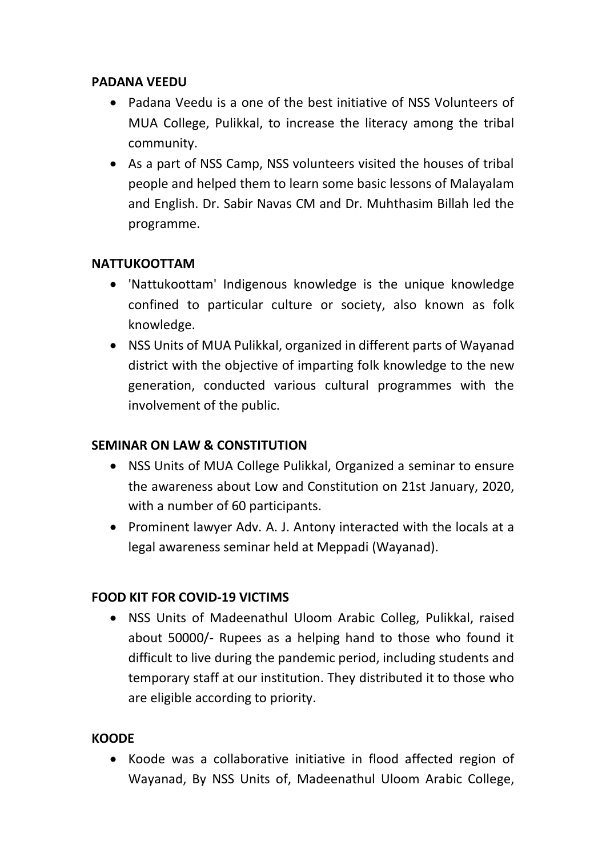#### **PADANA VEEDU**

- Padana Veedu is a one of the best initiative of NSS Volunteers of MUA College, Pulikkal, to increase the literacy among the tribal community.
- As a part of NSS Camp, NSS volunteers visited the houses of tribal people and helped them to learn some basic lessons of Malayalam and English. Dr. Sabir Navas CM and Dr. Muhthasim Billah led the programme.

#### **NATTUKOOTTAM**

- 'Nattukoottam' Indigenous knowledge is the unique knowledge confined to particular culture or society, also known as folk knowledge.
- NSS Units of MUA Pulikkal, organized in different parts of Wayanad district with the objective of imparting folk knowledge to the new generation, conducted various cultural programmes with the involvement of the public.

#### **SEMINAR ON LAW & CONSTITUTION**

- NSS Units of MUA College Pulikkal, Organized a seminar to ensure the awareness about Low and Constitution on 21st January, 2020, with a number of 60 participants.
- Prominent lawyer Adv. A. J. Antony interacted with the locals at a legal awareness seminar held at Meppadi (Wayanad).

#### **FOOD KIT FOR COVID-19 VICTIMS**

 NSS Units of Madeenathul Uloom Arabic Colleg, Pulikkal, raised about 50000/- Rupees as a helping hand to those who found it difficult to live during the pandemic period, including students and temporary staff at our institution. They distributed it to those who are eligible according to priority.

#### **KOODE**

 Koode was a collaborative initiative in flood affected region of Wayanad, By NSS Units of, Madeenathul Uloom Arabic College,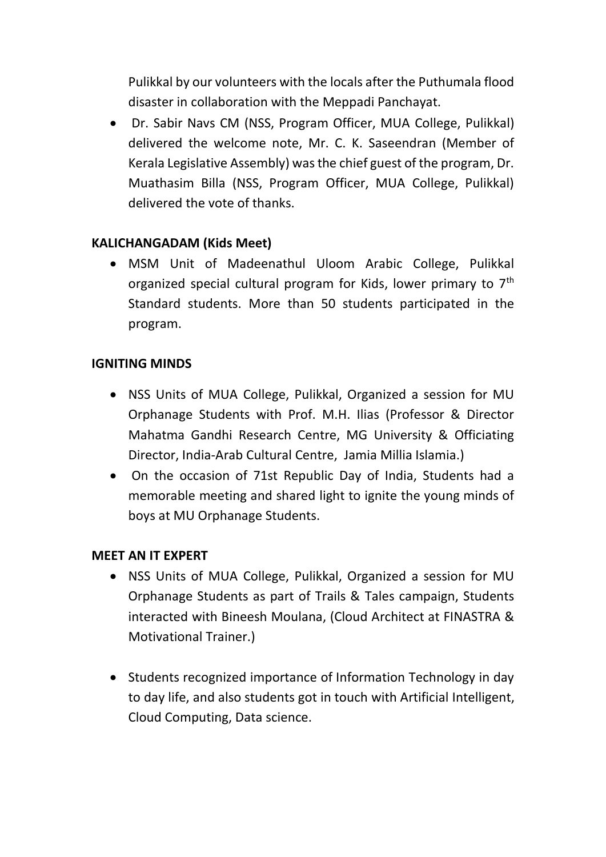Pulikkal by our volunteers with the locals after the Puthumala flood disaster in collaboration with the Meppadi Panchayat.

 Dr. Sabir Navs CM (NSS, Program Officer, MUA College, Pulikkal) delivered the welcome note, Mr. C. K. Saseendran (Member of Kerala Legislative Assembly) was the chief guest of the program, Dr. Muathasim Billa (NSS, Program Officer, MUA College, Pulikkal) delivered the vote of thanks.

#### **KALICHANGADAM (Kids Meet)**

 MSM Unit of Madeenathul Uloom Arabic College, Pulikkal organized special cultural program for Kids, lower primary to 7<sup>th</sup> Standard students. More than 50 students participated in the program.

#### **IGNITING MINDS**

- NSS Units of MUA College, Pulikkal, Organized a session for MU Orphanage Students with Prof. M.H. Ilias (Professor & Director Mahatma Gandhi Research Centre, MG University & Officiating Director, India-Arab Cultural Centre, Jamia Millia Islamia.)
- On the occasion of 71st Republic Day of India, Students had a memorable meeting and shared light to ignite the young minds of boys at MU Orphanage Students.

#### **MEET AN IT EXPERT**

- NSS Units of MUA College, Pulikkal, Organized a session for MU Orphanage Students as part of Trails & Tales campaign, Students interacted with Bineesh Moulana, (Cloud Architect at FINASTRA & Motivational Trainer.)
- Students recognized importance of Information Technology in day to day life, and also students got in touch with Artificial Intelligent, Cloud Computing, Data science.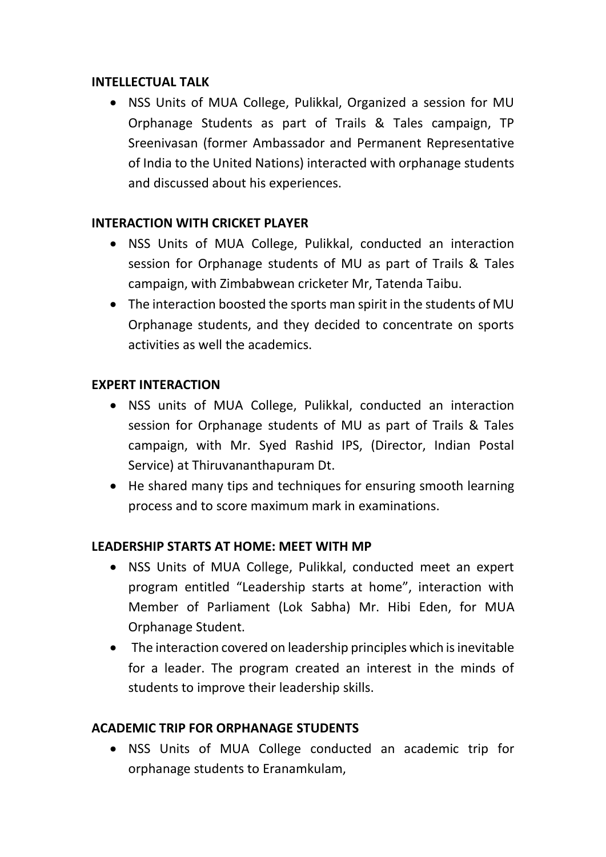#### **INTELLECTUAL TALK**

 NSS Units of MUA College, Pulikkal, Organized a session for MU Orphanage Students as part of Trails & Tales campaign, TP Sreenivasan (former Ambassador and Permanent Representative of India to the United Nations) interacted with orphanage students and discussed about his experiences.

#### **INTERACTION WITH CRICKET PLAYER**

- NSS Units of MUA College, Pulikkal, conducted an interaction session for Orphanage students of MU as part of Trails & Tales campaign, with Zimbabwean cricketer Mr, Tatenda Taibu.
- The interaction boosted the sports man spirit in the students of MU Orphanage students, and they decided to concentrate on sports activities as well the academics.

#### **EXPERT INTERACTION**

- NSS units of MUA College, Pulikkal, conducted an interaction session for Orphanage students of MU as part of Trails & Tales campaign, with Mr. Syed Rashid IPS, (Director, Indian Postal Service) at Thiruvananthapuram Dt.
- He shared many tips and techniques for ensuring smooth learning process and to score maximum mark in examinations.

#### **LEADERSHIP STARTS AT HOME: MEET WITH MP**

- NSS Units of MUA College, Pulikkal, conducted meet an expert program entitled "Leadership starts at home", interaction with Member of Parliament (Lok Sabha) Mr. Hibi Eden, for MUA Orphanage Student.
- The interaction covered on leadership principles which is inevitable for a leader. The program created an interest in the minds of students to improve their leadership skills.

#### **ACADEMIC TRIP FOR ORPHANAGE STUDENTS**

 NSS Units of MUA College conducted an academic trip for orphanage students to Eranamkulam,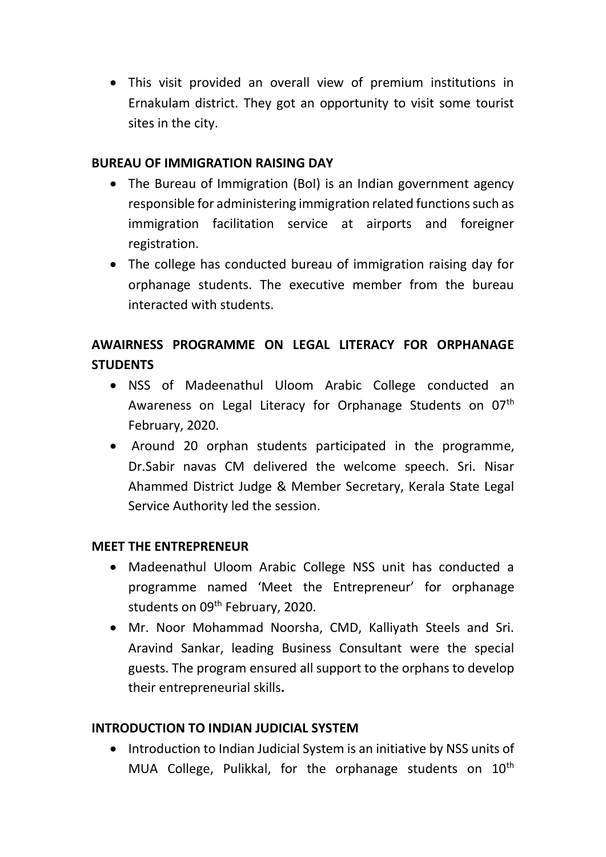This visit provided an overall view of premium institutions in Ernakulam district. They got an opportunity to visit some tourist sites in the city.

#### **BUREAU OF IMMIGRATION RAISING DAY**

- The Bureau of Immigration (BoI) is an Indian government agency responsible for administering immigration related functions such as immigration facilitation service at airports and foreigner registration.
- The college has conducted bureau of immigration raising day for orphanage students. The executive member from the bureau interacted with students.

# **AWAIRNESS PROGRAMME ON LEGAL LITERACY FOR ORPHANAGE STUDENTS**

- NSS of Madeenathul Uloom Arabic College conducted an Awareness on Legal Literacy for Orphanage Students on 07<sup>th</sup> February, 2020.
- Around 20 orphan students participated in the programme, Dr.Sabir navas CM delivered the welcome speech. Sri. Nisar Ahammed District Judge & Member Secretary, Kerala State Legal Service Authority led the session.

## **MEET THE ENTREPRENEUR**

- Madeenathul Uloom Arabic College NSS unit has conducted a programme named 'Meet the Entrepreneur' for orphanage students on 09<sup>th</sup> February, 2020.
- Mr. Noor Mohammad Noorsha, CMD, Kalliyath Steels and Sri. Aravind Sankar, leading Business Consultant were the special guests. The program ensured all support to the orphans to develop their entrepreneurial skills**.**

## **INTRODUCTION TO INDIAN JUDICIAL SYSTEM**

• Introduction to Indian Judicial System is an initiative by NSS units of MUA College, Pulikkal, for the orphanage students on  $10<sup>th</sup>$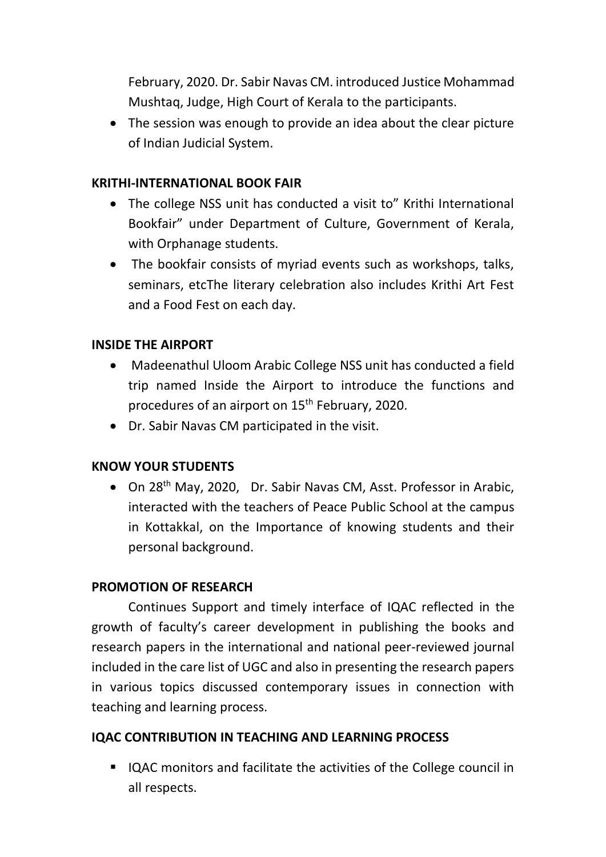February, 2020. Dr. Sabir Navas CM. introduced Justice Mohammad Mushtaq, Judge, High Court of Kerala to the participants.

• The session was enough to provide an idea about the clear picture of Indian Judicial System.

#### **KRITHI-INTERNATIONAL BOOK FAIR**

- The college NSS unit has conducted a visit to" Krithi International Bookfair" under Department of Culture, Government of Kerala, with Orphanage students.
- The bookfair consists of myriad events such as workshops, talks, seminars, etcThe literary celebration also includes Krithi Art Fest and a Food Fest on each day.

#### **INSIDE THE AIRPORT**

- Madeenathul Uloom Arabic College NSS unit has conducted a field trip named Inside the Airport to introduce the functions and procedures of an airport on 15th February, 2020.
- Dr. Sabir Navas CM participated in the visit.

#### **KNOW YOUR STUDENTS**

• On 28<sup>th</sup> May, 2020, Dr. Sabir Navas CM, Asst. Professor in Arabic, interacted with the teachers of Peace Public School at the campus in Kottakkal, on the Importance of knowing students and their personal background.

#### **PROMOTION OF RESEARCH**

Continues Support and timely interface of IQAC reflected in the growth of faculty's career development in publishing the books and research papers in the international and national peer-reviewed journal included in the care list of UGC and also in presenting the research papers in various topics discussed contemporary issues in connection with teaching and learning process.

#### **IQAC CONTRIBUTION IN TEACHING AND LEARNING PROCESS**

■ IQAC monitors and facilitate the activities of the College council in all respects.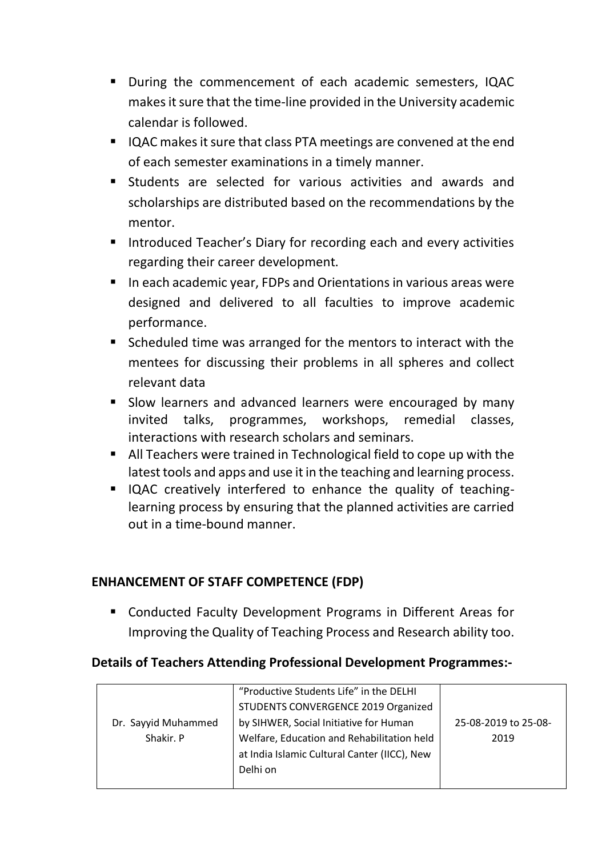- During the commencement of each academic semesters, IQAC makes it sure that the time-line provided in the University academic calendar is followed.
- IQAC makes it sure that class PTA meetings are convened at the end of each semester examinations in a timely manner.
- Students are selected for various activities and awards and scholarships are distributed based on the recommendations by the mentor.
- **Introduced Teacher's Diary for recording each and every activities** regarding their career development.
- In each academic year, FDPs and Orientations in various areas were designed and delivered to all faculties to improve academic performance.
- Scheduled time was arranged for the mentors to interact with the mentees for discussing their problems in all spheres and collect relevant data
- **Slow learners and advanced learners were encouraged by many** invited talks, programmes, workshops, remedial classes, interactions with research scholars and seminars.
- All Teachers were trained in Technological field to cope up with the latest tools and apps and use it in the teaching and learning process.
- IQAC creatively interfered to enhance the quality of teachinglearning process by ensuring that the planned activities are carried out in a time-bound manner.

#### **ENHANCEMENT OF STAFF COMPETENCE (FDP)**

 Conducted Faculty Development Programs in Different Areas for Improving the Quality of Teaching Process and Research ability too.

#### **Details of Teachers Attending Professional Development Programmes:-**

|                     | "Productive Students Life" in the DELHI      |                      |
|---------------------|----------------------------------------------|----------------------|
|                     | STUDENTS CONVERGENCE 2019 Organized          |                      |
| Dr. Sayyid Muhammed | by SIHWER, Social Initiative for Human       | 25-08-2019 to 25-08- |
| Shakir. P           | Welfare, Education and Rehabilitation held   | 2019                 |
|                     | at India Islamic Cultural Canter (IICC), New |                      |
|                     | Delhi on                                     |                      |
|                     |                                              |                      |